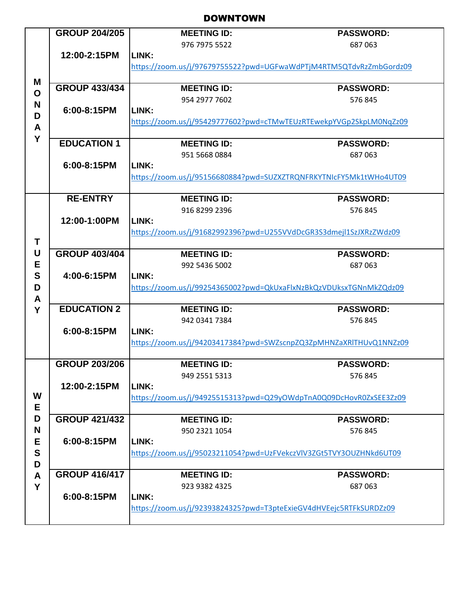## DOWNTOWN

|                  | <b>GROUP 204/205</b>                                               | <b>MEETING ID:</b>                                                 | <b>PASSWORD:</b>                                                   |  |
|------------------|--------------------------------------------------------------------|--------------------------------------------------------------------|--------------------------------------------------------------------|--|
|                  |                                                                    | 976 7975 5522                                                      | 687063                                                             |  |
|                  | 12:00-2:15PM                                                       | LINK:                                                              |                                                                    |  |
|                  |                                                                    | https://zoom.us/j/97679755522?pwd=UGFwaWdPTjM4RTM5QTdvRzZmbGordz09 |                                                                    |  |
| M                |                                                                    |                                                                    |                                                                    |  |
| $\mathbf O$<br>N | <b>GROUP 433/434</b>                                               | <b>MEETING ID:</b>                                                 | <b>PASSWORD:</b>                                                   |  |
|                  |                                                                    | 954 2977 7602                                                      | 576 845                                                            |  |
|                  | 6:00-8:15PM                                                        | LINK:                                                              |                                                                    |  |
| D                |                                                                    |                                                                    | https://zoom.us/j/95429777602?pwd=cTMwTEUzRTEwekpYVGp2SkpLM0NgZz09 |  |
| A                |                                                                    |                                                                    |                                                                    |  |
| Y                | <b>EDUCATION 1</b>                                                 | <b>MEETING ID:</b>                                                 | <b>PASSWORD:</b>                                                   |  |
|                  |                                                                    | 951 5668 0884                                                      | 687063                                                             |  |
|                  | 6:00-8:15PM                                                        | LINK:                                                              |                                                                    |  |
|                  |                                                                    | https://zoom.us/j/95156680884?pwd=SUZXZTRQNFRKYTNIcFY5Mk1tWHo4UT09 |                                                                    |  |
|                  |                                                                    |                                                                    |                                                                    |  |
|                  | <b>RE-ENTRY</b>                                                    | <b>MEETING ID:</b>                                                 | <b>PASSWORD:</b>                                                   |  |
|                  |                                                                    | 916 8299 2396                                                      | 576 845                                                            |  |
|                  | 12:00-1:00PM                                                       | LINK:                                                              |                                                                    |  |
|                  |                                                                    | https://zoom.us/j/91682992396?pwd=U255VVdDcGR3S3dmejl1SzJXRzZWdz09 |                                                                    |  |
| T                |                                                                    |                                                                    |                                                                    |  |
| U                | <b>GROUP 403/404</b>                                               | <b>MEETING ID:</b>                                                 | <b>PASSWORD:</b>                                                   |  |
| E                |                                                                    | 992 5436 5002                                                      | 687063                                                             |  |
| S                | 4:00-6:15PM                                                        | LINK:                                                              |                                                                    |  |
| D                |                                                                    |                                                                    | https://zoom.us/j/99254365002?pwd=QkUxaFlxNzBkQzVDUksxTGNnMkZQdz09 |  |
| A                |                                                                    |                                                                    |                                                                    |  |
| Y                | <b>EDUCATION 2</b>                                                 | <b>MEETING ID:</b>                                                 | <b>PASSWORD:</b>                                                   |  |
|                  |                                                                    | 942 0341 7384                                                      | 576845                                                             |  |
|                  | 6:00-8:15PM                                                        | LINK:                                                              |                                                                    |  |
|                  |                                                                    |                                                                    | https://zoom.us/j/94203417384?pwd=SWZscnpZQ3ZpMHNZaXRlTHUvQ1NNZz09 |  |
|                  |                                                                    |                                                                    |                                                                    |  |
|                  | <b>GROUP 203/206</b>                                               | <b>MEETING ID:</b>                                                 | <b>PASSWORD:</b>                                                   |  |
|                  |                                                                    | 949 2551 5313                                                      | 576 845                                                            |  |
|                  | 12:00-2:15PM                                                       | LINK:                                                              |                                                                    |  |
| W                |                                                                    | https://zoom.us/j/94925515313?pwd=Q29yOWdpTnA0Q09DcHovR0ZxSEE3Zz09 |                                                                    |  |
| E                |                                                                    |                                                                    |                                                                    |  |
| D                | <b>GROUP 421/432</b>                                               | <b>MEETING ID:</b>                                                 | <b>PASSWORD:</b>                                                   |  |
| N                |                                                                    | 950 2321 1054                                                      | 576845                                                             |  |
| Е                | 6:00-8:15PM                                                        | LINK:                                                              |                                                                    |  |
| ${\mathbf S}$    | https://zoom.us/j/95023211054?pwd=UzFVekczVlV3ZGt5TVY3OUZHNkd6UT09 |                                                                    |                                                                    |  |
| D                |                                                                    |                                                                    |                                                                    |  |
| A                | <b>GROUP 416/417</b>                                               | <b>MEETING ID:</b>                                                 | <b>PASSWORD:</b>                                                   |  |
| Y                |                                                                    | 923 9382 4325                                                      | 687063                                                             |  |
|                  | 6:00-8:15PM                                                        | LINK:                                                              |                                                                    |  |
|                  |                                                                    | https://zoom.us/j/92393824325?pwd=T3pteExieGV4dHVEejc5RTFkSURDZz09 |                                                                    |  |
|                  |                                                                    |                                                                    |                                                                    |  |